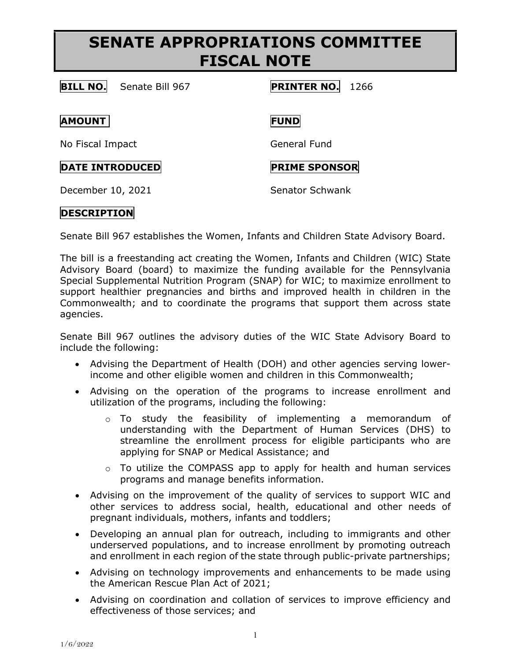## **SENATE APPROPRIATIONS COMMITTEE FISCAL NOTE**

### **BILL NO.** Senate Bill 967 **PRINTER NO.** 1266

**AMOUNT FUND**

No Fiscal Impact General Fund

**DATE INTRODUCED PRIME SPONSOR** 

December 10, 2021 Senator Schwank

## **DESCRIPTION**

Senate Bill 967 establishes the Women, Infants and Children State Advisory Board.

The bill is a freestanding act creating the Women, Infants and Children (WIC) State Advisory Board (board) to maximize the funding available for the Pennsylvania Special Supplemental Nutrition Program (SNAP) for WIC; to maximize enrollment to support healthier pregnancies and births and improved health in children in the Commonwealth; and to coordinate the programs that support them across state agencies.

Senate Bill 967 outlines the advisory duties of the WIC State Advisory Board to include the following:

- Advising the Department of Health (DOH) and other agencies serving lowerincome and other eligible women and children in this Commonwealth;
- Advising on the operation of the programs to increase enrollment and utilization of the programs, including the following:
	- o To study the feasibility of implementing a memorandum of understanding with the Department of Human Services (DHS) to streamline the enrollment process for eligible participants who are applying for SNAP or Medical Assistance; and
	- $\circ$  To utilize the COMPASS app to apply for health and human services programs and manage benefits information.
- Advising on the improvement of the quality of services to support WIC and other services to address social, health, educational and other needs of pregnant individuals, mothers, infants and toddlers;
- Developing an annual plan for outreach, including to immigrants and other underserved populations, and to increase enrollment by promoting outreach and enrollment in each region of the state through public-private partnerships;
- Advising on technology improvements and enhancements to be made using the American Rescue Plan Act of 2021;
- Advising on coordination and collation of services to improve efficiency and effectiveness of those services; and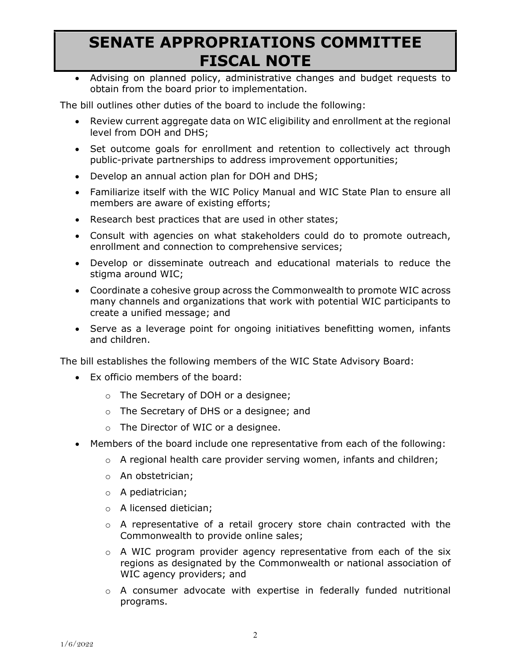# **SENATE APPROPRIATIONS COMMITTEE FISCAL NOTE**

• Advising on planned policy, administrative changes and budget requests to obtain from the board prior to implementation.

The bill outlines other duties of the board to include the following:

- Review current aggregate data on WIC eligibility and enrollment at the regional level from DOH and DHS;
- Set outcome goals for enrollment and retention to collectively act through public-private partnerships to address improvement opportunities;
- Develop an annual action plan for DOH and DHS;
- Familiarize itself with the WIC Policy Manual and WIC State Plan to ensure all members are aware of existing efforts;
- Research best practices that are used in other states;
- Consult with agencies on what stakeholders could do to promote outreach, enrollment and connection to comprehensive services;
- Develop or disseminate outreach and educational materials to reduce the stigma around WIC;
- Coordinate a cohesive group across the Commonwealth to promote WIC across many channels and organizations that work with potential WIC participants to create a unified message; and
- Serve as a leverage point for ongoing initiatives benefitting women, infants and children.

The bill establishes the following members of the WIC State Advisory Board:

- Ex officio members of the board:
	- o The Secretary of DOH or a designee;
	- o The Secretary of DHS or a designee; and
	- o The Director of WIC or a designee.
- Members of the board include one representative from each of the following:
	- $\circ$  A regional health care provider serving women, infants and children;
	- o An obstetrician;
	- o A pediatrician;
	- o A licensed dietician;
	- o A representative of a retail grocery store chain contracted with the Commonwealth to provide online sales;
	- $\circ$  A WIC program provider agency representative from each of the six regions as designated by the Commonwealth or national association of WIC agency providers; and
	- o A consumer advocate with expertise in federally funded nutritional programs.